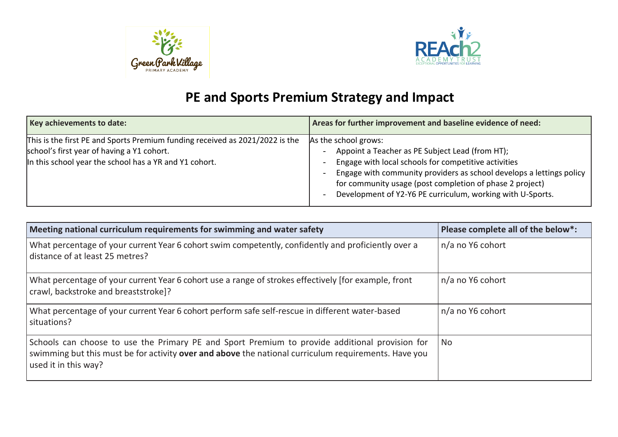



## **PE and Sports Premium Strategy and Impact**

| Key achievements to date:                                                                                                                                                            | Areas for further improvement and baseline evidence of need:                                                                                                                                                                                                                                                                      |
|--------------------------------------------------------------------------------------------------------------------------------------------------------------------------------------|-----------------------------------------------------------------------------------------------------------------------------------------------------------------------------------------------------------------------------------------------------------------------------------------------------------------------------------|
| This is the first PE and Sports Premium funding received as 2021/2022 is the<br>school's first year of having a Y1 cohort.<br>In this school year the school has a YR and Y1 cohort. | As the school grows:<br>Appoint a Teacher as PE Subject Lead (from HT);<br>Engage with local schools for competitive activities<br>Engage with community providers as school develops a lettings policy<br>for community usage (post completion of phase 2 project)<br>Development of Y2-Y6 PE curriculum, working with U-Sports. |

| Meeting national curriculum requirements for swimming and water safety                                                                                                                                                         | Please complete all of the below*: |
|--------------------------------------------------------------------------------------------------------------------------------------------------------------------------------------------------------------------------------|------------------------------------|
| What percentage of your current Year 6 cohort swim competently, confidently and proficiently over a<br>distance of at least 25 metres?                                                                                         | n/a no Y6 cohort                   |
| What percentage of your current Year 6 cohort use a range of strokes effectively [for example, front<br>crawl, backstroke and breaststroke]?                                                                                   | n/a no Y6 cohort                   |
| What percentage of your current Year 6 cohort perform safe self-rescue in different water-based<br>situations?                                                                                                                 | n/a no Y6 cohort                   |
| Schools can choose to use the Primary PE and Sport Premium to provide additional provision for<br>swimming but this must be for activity over and above the national curriculum requirements. Have you<br>used it in this way? | No                                 |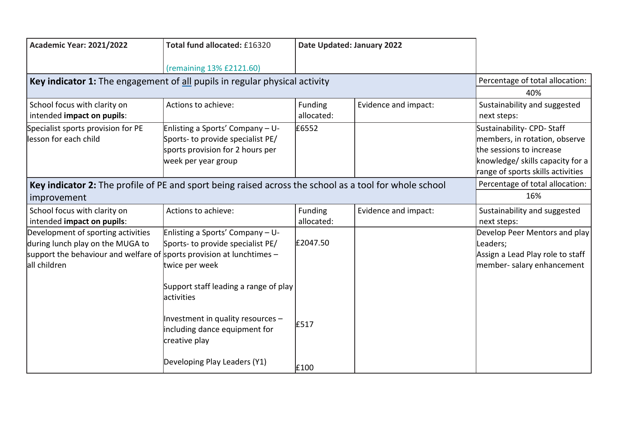| <b>Academic Year: 2021/2022</b>                                                                                                                                   | Total fund allocated: £16320                                                                                                                    | Date Updated: January 2022 |                                 |                                                                                                                                                                 |
|-------------------------------------------------------------------------------------------------------------------------------------------------------------------|-------------------------------------------------------------------------------------------------------------------------------------------------|----------------------------|---------------------------------|-----------------------------------------------------------------------------------------------------------------------------------------------------------------|
|                                                                                                                                                                   | (remaining 13% £2121.60)                                                                                                                        |                            |                                 |                                                                                                                                                                 |
| Key indicator 1: The engagement of all pupils in regular physical activity                                                                                        |                                                                                                                                                 |                            |                                 | Percentage of total allocation:                                                                                                                                 |
|                                                                                                                                                                   |                                                                                                                                                 |                            |                                 | 40%                                                                                                                                                             |
| School focus with clarity on<br>intended impact on pupils:                                                                                                        | Actions to achieve:                                                                                                                             | Funding<br>allocated:      | Evidence and impact:            | Sustainability and suggested<br>next steps:                                                                                                                     |
| Specialist sports provision for PE<br>lesson for each child                                                                                                       | Enlisting a Sports' Company - U-<br>Sports- to provide specialist PE/<br>sports provision for 2 hours per<br>week per year group                | £6552                      |                                 | Sustainability- CPD-Staff<br>members, in rotation, observe<br>the sessions to increase<br>knowledge/ skills capacity for a<br>range of sports skills activities |
| Key indicator 2: The profile of PE and sport being raised across the school as a tool for whole school                                                            |                                                                                                                                                 |                            | Percentage of total allocation: |                                                                                                                                                                 |
| improvement                                                                                                                                                       |                                                                                                                                                 |                            |                                 | 16%                                                                                                                                                             |
| School focus with clarity on<br>intended impact on pupils:                                                                                                        | Actions to achieve:                                                                                                                             | Funding<br>allocated:      | Evidence and impact:            | Sustainability and suggested<br>next steps:                                                                                                                     |
| Development of sporting activities<br>during lunch play on the MUGA to<br>support the behaviour and welfare of sports provision at lunchtimes $-$<br>all children | Enlisting a Sports' Company - U-<br>Sports- to provide specialist PE/<br>twice per week<br>Support staff leading a range of play<br>lactivities | £2047.50                   |                                 | Develop Peer Mentors and play<br>Leaders;<br>Assign a Lead Play role to staff<br>member- salary enhancement                                                     |
|                                                                                                                                                                   | Investment in quality resources $-$<br>including dance equipment for<br>creative play                                                           | £517                       |                                 |                                                                                                                                                                 |
|                                                                                                                                                                   | Developing Play Leaders (Y1)                                                                                                                    | £100                       |                                 |                                                                                                                                                                 |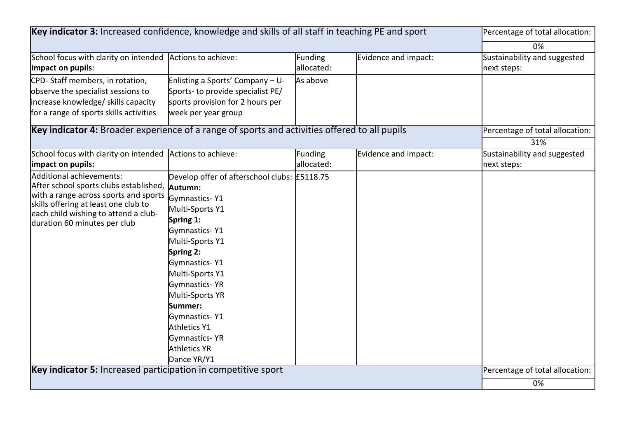| Key indicator 3: Increased confidence, knowledge and skills of all staff in teaching PE and sport                                                                                                                           |                                                                                                                                                                                                                                                                                                                               |                                 | Percentage of total allocation: |                                             |
|-----------------------------------------------------------------------------------------------------------------------------------------------------------------------------------------------------------------------------|-------------------------------------------------------------------------------------------------------------------------------------------------------------------------------------------------------------------------------------------------------------------------------------------------------------------------------|---------------------------------|---------------------------------|---------------------------------------------|
|                                                                                                                                                                                                                             |                                                                                                                                                                                                                                                                                                                               |                                 |                                 | 0%                                          |
| School focus with clarity on intended<br>impact on pupils:                                                                                                                                                                  | Actions to achieve:                                                                                                                                                                                                                                                                                                           | Funding<br>allocated:           | Evidence and impact:            | Sustainability and suggested<br>next steps: |
| CPD-Staff members, in rotation,<br>observe the specialist sessions to<br>increase knowledge/ skills capacity<br>for a range of sports skills activities                                                                     | Enlisting a Sports' Company - U-<br>Sports- to provide specialist PE/<br>sports provision for 2 hours per<br>week per year group                                                                                                                                                                                              | As above                        |                                 |                                             |
| Key indicator 4: Broader experience of a range of sports and activities offered to all pupils                                                                                                                               |                                                                                                                                                                                                                                                                                                                               | Percentage of total allocation: |                                 |                                             |
|                                                                                                                                                                                                                             |                                                                                                                                                                                                                                                                                                                               |                                 |                                 | 31%                                         |
| School focus with clarity on intended<br>impact on pupils:                                                                                                                                                                  | Actions to achieve:                                                                                                                                                                                                                                                                                                           | Funding<br>allocated:           | Evidence and impact:            | Sustainability and suggested<br>next steps: |
| Additional achievements:<br>After school sports clubs established,<br>with a range across sports and sports<br>skills offering at least one club to<br>each child wishing to attend a club-<br>duration 60 minutes per club | Develop offer of afterschool clubs: £5118.75<br>Autumn:<br>Gymnastics-Y1<br>Multi-Sports Y1<br>Spring 1:<br>Gymnastics-Y1<br>Multi-Sports Y1<br>Spring 2:<br>Gymnastics-Y1<br>Multi-Sports Y1<br>Gymnastics-YR<br>Multi-Sports YR<br>Summer:<br>Gymnastics-Y1<br>Athletics Y1<br>Gymnastics-YR<br>Athletics YR<br>Dance YR/Y1 |                                 |                                 |                                             |
| Key indicator 5: Increased participation in competitive sport                                                                                                                                                               |                                                                                                                                                                                                                                                                                                                               |                                 |                                 | Percentage of total allocation:             |
|                                                                                                                                                                                                                             |                                                                                                                                                                                                                                                                                                                               |                                 |                                 | 0%                                          |